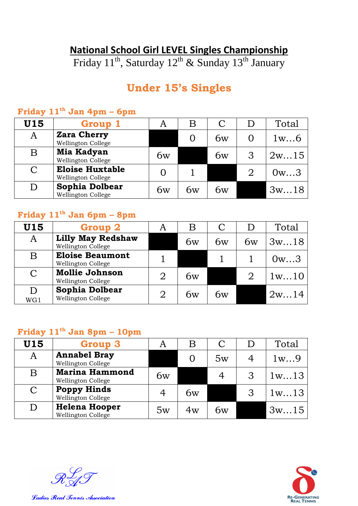### **National School Girl LEVEL Singles Championship**

Friday 11<sup>th</sup>, Saturday 12<sup>th</sup> & Sunday 13<sup>th</sup> January

# **Under 15's Singles**

| U15 | Group 1                                      |    | Β  |    |   | Total |
|-----|----------------------------------------------|----|----|----|---|-------|
| A   | <b>Zara Cherry</b><br>Wellington College     |    |    | 6w |   | 1w6   |
| B   | Mia Kadyan<br>Wellington College             | 6w |    | 6w |   | 2w15  |
| C   | <b>Eloise Huxtable</b><br>Wellington College |    |    |    | 2 | 0w3   |
| D   | Sophia Dolbear<br>Wellington College         | 6w | 6w | 6w |   | 3w18  |

### **Friday 11th Jan 4pm – 6pm**

### **Friday 11th Jan 6pm – 8pm**

| U15                     | <b>Group 2</b>                                 | A | B  |    |    | Total |
|-------------------------|------------------------------------------------|---|----|----|----|-------|
| A                       | <b>Lilly May Redshaw</b><br>Wellington College |   | 6w | 6w | 6w | 3w18  |
| $\overline{\mathrm{B}}$ | <b>Eloise Beaumont</b><br>Wellington College   |   |    |    |    | 0w3   |
| $\mathsf{C}$            | <b>Mollie Johnson</b><br>Wellington College    | 2 | 6w |    | 2  | 1w10  |
| D<br>WG1                | Sophia Dolbear<br>Wellington College           |   | 6w | 6w |    | 2w14  |

## **Friday 11th Jan 8pm – 10pm**

| <b>U15</b>                | <b>Group 3</b>                              | A  | Β  |    | Total |
|---------------------------|---------------------------------------------|----|----|----|-------|
| A                         | <b>Annabel Bray</b><br>Wellington College   |    |    | 5w | 1w9   |
| $\boldsymbol{\mathrm{B}}$ | <b>Marina Hammond</b><br>Wellington College | 6w |    |    | 1w13  |
| $\mathcal{C}$             | <b>Poppy Hinds</b><br>Wellington College    |    | 6w |    | 1w13  |
| D                         | <b>Helena Hooper</b><br>Wellington College  | 5w | 4w | 6w | 3w15  |

 $\mathscr{R}$ 

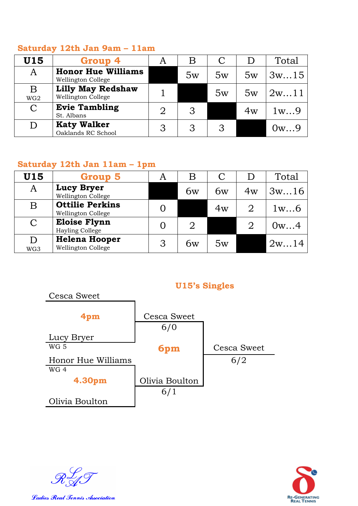#### **Saturday 12th Jan 9am – 11am**

| U15                  | Group 4                                                | A | B  |    |           | Total |
|----------------------|--------------------------------------------------------|---|----|----|-----------|-------|
| A                    | <b>Honor Hue Williams</b><br><b>Wellington College</b> |   | 5w | 5w | 5w        | 3w15  |
| B<br>WG <sub>2</sub> | <b>Lilly May Redshaw</b><br>Wellington College         |   |    | 5w | 5w        | 2w11  |
| C                    | <b>Evie Tambling</b><br>St. Albans                     |   | З  |    | $4\rm{w}$ | 1w9   |
|                      | <b>Katy Walker</b><br>Oaklands RC School               |   |    | հ  |           | ()w9  |

#### **Saturday 12th Jan 11am – 1pm**

| U15                       | Group 5                                             | A | Β  |    |    | Total |
|---------------------------|-----------------------------------------------------|---|----|----|----|-------|
| A                         | <b>Lucy Bryer</b><br>Wellington College             |   | 6w | 6w | 4w | 3w16  |
| $\boldsymbol{\mathrm{B}}$ | <b>Ottilie Perkins</b><br><b>Wellington College</b> |   |    | 4w |    | 1w6   |
| $\mathcal C$              | <b>Eloise Flynn</b><br>Hayling College              |   |    |    | 2  | 0w4   |
| D<br>WG3                  | <b>Helena Hooper</b><br><b>Wellington College</b>   | 3 | 6w | 5w |    | 2w14  |

#### **U15's Singles**



 $\mathscr{R}$ 



Ladies Real Tennis Association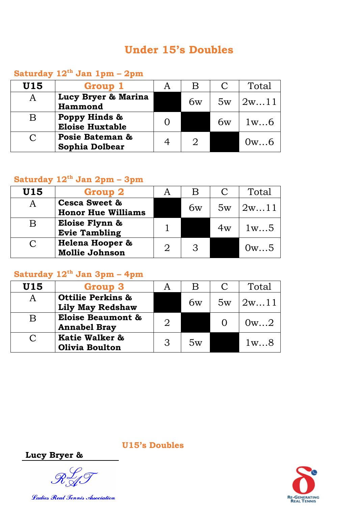### **Under 15's Doubles**

### **Saturday 12th Jan 1pm – 2pm**

| U15       | Group 1                                  |    |    | Total |
|-----------|------------------------------------------|----|----|-------|
| A         | Lucy Bryer & Marina<br>Hammond           | 6w | 5w | 2w11  |
| B         | Poppy Hinds &<br><b>Eloise Huxtable</b>  |    | 6w | 1w6   |
| $\subset$ | Posie Bateman &<br><b>Sophia Dolbear</b> |    |    | 0w6   |

## **Saturday 12th Jan 2pm – 3pm**

| U15    | <b>Group 2</b>                                        |              |    | Total |
|--------|-------------------------------------------------------|--------------|----|-------|
|        | <b>Cesca Sweet &amp;</b><br><b>Honor Hue Williams</b> | 6w           | 5w | 2w11  |
| B      | Eloise Flynn &<br><b>Evie Tambling</b>                |              | 4w | 1w5   |
| $\cap$ | <b>Helena Hooper &amp;</b><br><b>Mollie Johnson</b>   | $\mathbf{z}$ |    | 0w5   |

## **Saturday 12th Jan 3pm – 4pm**

| U15 | <b>Group 3</b>                                          |               |    |    | Total |
|-----|---------------------------------------------------------|---------------|----|----|-------|
| A   | <b>Ottilie Perkins &amp;</b><br><b>Lily May Redshaw</b> |               | 6w | 5w | 2w11  |
| B   | <b>Eloise Beaumont &amp;</b><br><b>Annabel Bray</b>     | $\mathcal{D}$ |    |    | 0w2   |
| C   | Katie Walker &<br><b>Olivia Boulton</b>                 | $\mathcal{R}$ | 5w |    | 1w8   |

**RE-GENERATING**<br>**REAL TENNIS** 

**U15's Doubles**

**Lucy Bryer &** 

 $\mathscr{R}_{\propto}^{\mathcal{L}}$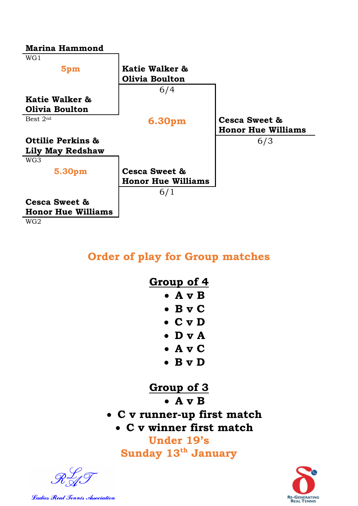

### **Order of play for Group matches**

| <u>Group</u> of 4 |                 |  |  |  |  |  |  |
|-------------------|-----------------|--|--|--|--|--|--|
|                   | • A v B         |  |  |  |  |  |  |
|                   | $\bullet$ B v C |  |  |  |  |  |  |
|                   | $\bullet$ C v D |  |  |  |  |  |  |
|                   | $\bullet$ D v A |  |  |  |  |  |  |
|                   | $\bullet$ A v C |  |  |  |  |  |  |
|                   | $\bullet$ B v D |  |  |  |  |  |  |

# **Group of 3**

**A v B** 

- **C v runner-up first match**
	- **C v winner first match**

**Under 19's Sunday 13th January**



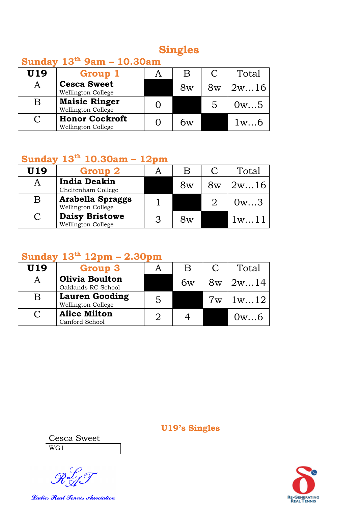## **Singles**

### **Sunday 13th 9am – 10.30am**

| U19 | Group 1                                     | Β  |    | Total |
|-----|---------------------------------------------|----|----|-------|
|     | <b>Cesca Sweet</b><br>Wellington College    | 8w | 8w | 2w16  |
| B   | <b>Maisie Ringer</b><br>Wellington College  |    | 5  | 0w5   |
|     | <b>Honor Cockroft</b><br>Wellington College | hw |    | 1w6   |

## **Sunday 13th 10.30am – 12pm**

| U19           | Group 2                                       | B  |    | Total |
|---------------|-----------------------------------------------|----|----|-------|
|               | <b>India Deakin</b><br>Cheltenham College     | 8w | 8w | 2w16  |
| B             | <b>Arabella Spraggs</b><br>Wellington College |    |    | 0w3   |
| $\mathcal{C}$ | <b>Daisy Bristowe</b><br>Wellington College   | 8w |    | 1w1   |

## **Sunday 13th 12pm – 2.30pm**

| U19 | <b>Group 3</b>                              | В  |    | Total |
|-----|---------------------------------------------|----|----|-------|
|     | <b>Olivia Boulton</b><br>Oaklands RC School | bw | 8w | 12w14 |
| B   | <b>Lauren Gooding</b><br>Wellington College |    | 7w | 1w12  |
|     | <b>Alice Milton</b><br>Canford School       |    |    | 0w6   |

**U19's Singles**

Cesca Sweet WG1

 $\mathscr{R}_{\mathscr{A}}^{\mathcal{L}}$ 

Ladies Real Tennis Association

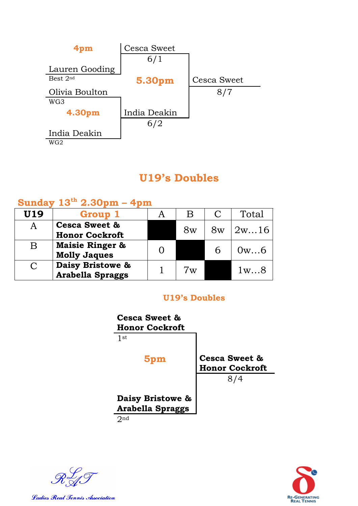

## **U19's Doubles**

### **Sunday 13th 2.30pm – 4pm**

| U19                   | Group 1                                           | В             |    | Total |
|-----------------------|---------------------------------------------------|---------------|----|-------|
| A                     | <b>Cesca Sweet &amp;</b><br><b>Honor Cockroft</b> | 8w            | 8w | 2w16  |
| B                     | <b>Maisie Ringer &amp;</b><br><b>Molly Jaques</b> |               | h  | 0w6   |
| $\mathcal{C}_{\cdot}$ | Daisy Bristowe &<br><b>Arabella Spraggs</b>       | $7\mathrm{w}$ |    | 1w8   |

#### **U19's Doubles**



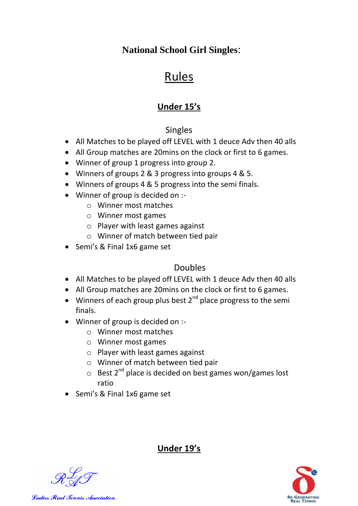### **National School Girl Singles**:

# Rules

### **Under 15's**

#### Singles

- All Matches to be played off LEVEL with 1 deuce Adv then 40 alls
- All Group matches are 20mins on the clock or first to 6 games.
- Winner of group 1 progress into group 2.
- Winners of groups 2 & 3 progress into groups 4 & 5.
- Winners of groups 4 & 5 progress into the semi finals.
- Winner of group is decided on :
	- o Winner most matches
	- o Winner most games
	- o Player with least games against
	- o Winner of match between tied pair
- Semi's & Final 1x6 game set

#### Doubles

- All Matches to be played off LEVEL with 1 deuce Adv then 40 alls
- All Group matches are 20mins on the clock or first to 6 games.
- Winners of each group plus best  $2^{nd}$  place progress to the semi finals.
- Winner of group is decided on :
	- o Winner most matches
	- o Winner most games
	- o Player with least games against
	- o Winner of match between tied pair
	- $\circ$  Best 2<sup>nd</sup> place is decided on best games won/games lost ratio
- Semi's & Final 1x6 game set

#### **Under 19's**



Ladies Real Tennis Association